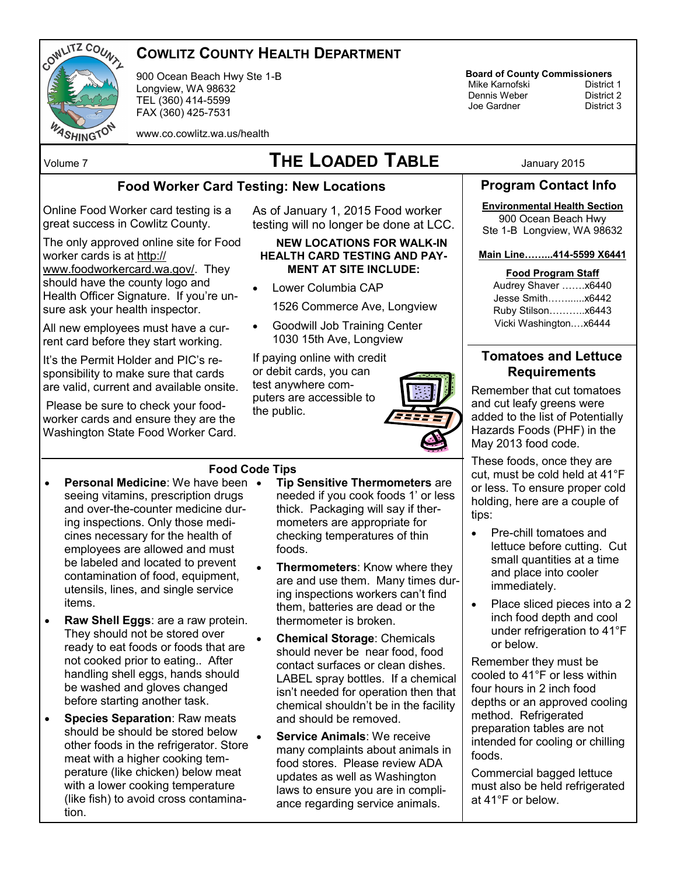

## **COWLITZ COUNTY HEALTH DEPARTMENT**

900 Ocean Beach Hwy Ste 1-B Longview, WA 98632 TEL (360) 414-5599 FAX (360) 425-7531

#### www.co.cowlitz.wa.us/health

# Volume 7 **THE LOADED TABLE** January 2015

### **Food Worker Card Testing: New Locations**

Online Food Worker card testing is a great success in Cowlitz County.

The only approved online site for Food worker cards is at [http://](https://www.foodworkercard.wa.gov) [www.foodworkercard.wa.gov/.](https://www.foodworkercard.wa.gov) They should have the county logo and Health Officer Signature. If you're unsure ask your health inspector.

All new employees must have a current card before they start working.

It's the Permit Holder and PIC's responsibility to make sure that cards are valid, current and available onsite.

Please be sure to check your foodworker cards and ensure they are the Washington State Food Worker Card.

#### As of January 1, 2015 Food worker testing will no longer be done at LCC.

#### **NEW LOCATIONS FOR WALK-IN HEALTH CARD TESTING AND PAY-MENT AT SITE INCLUDE:**

- Lower Columbia CAP
	- 1526 Commerce Ave, Longview
- Goodwill Job Training Center 1030 15th Ave, Longview

If paying online with credit or debit cards, you can test anywhere computers are accessible to the public.



### **Food Code Tips**

- **Personal Medicine:** We have been seeing vitamins, prescription drugs and over-the-counter medicine during inspections. Only those medicines necessary for the health of employees are allowed and must be labeled and located to prevent contamination of food, equipment, utensils, lines, and single service items.
- **Raw Shell Eggs**: are a raw protein. They should not be stored over ready to eat foods or foods that are not cooked prior to eating.. After handling shell eggs, hands should be washed and gloves changed before starting another task.
- **Species Separation**: Raw meats should be should be stored below other foods in the refrigerator. Store meat with a higher cooking temperature (like chicken) below meat with a lower cooking temperature (like fish) to avoid cross contamination.
- **Tip Sensitive Thermometers** are needed if you cook foods 1' or less thick. Packaging will say if thermometers are appropriate for checking temperatures of thin foods.
- **Thermometers**: Know where they are and use them. Many times during inspections workers can't find them, batteries are dead or the thermometer is broken.
- **Chemical Storage**: Chemicals should never be near food, food contact surfaces or clean dishes. LABEL spray bottles. If a chemical isn't needed for operation then that chemical shouldn't be in the facility and should be removed.
- **Service Animals**: We receive many complaints about animals in food stores. Please review ADA updates as well as Washington laws to ensure you are in compliance regarding service animals.

**Board of County Commissioners** Mike Karnofski District 1 Dennis Weber District 2

Joe Gardner

## **Program Contact Info**

## **Environmental Health Section**

900 Ocean Beach Hwy Ste 1-B Longview, WA 98632

**Main Line……...414-5599 X6441**

**Food Program Staff** 

Audrey Shaver …….x6440 Jesse Smith……......x6442 Ruby Stilson………..x6443 Vicki Washington.…x6444

## **Tomatoes and Lettuce Requirements**

Remember that cut tomatoes and cut leafy greens were added to the list of Potentially Hazards Foods (PHF) in the May 2013 food code.

These foods, once they are cut, must be cold held at 41°F or less. To ensure proper cold holding, here are a couple of tips:

- Pre-chill tomatoes and lettuce before cutting. Cut small quantities at a time and place into cooler immediately.
- Place sliced pieces into a 2 inch food depth and cool under refrigeration to 41°F or below.

Remember they must be cooled to 41°F or less within four hours in 2 inch food depths or an approved cooling method. Refrigerated preparation tables are not intended for cooling or chilling foods.

Commercial bagged lettuce must also be held refrigerated at 41°F or below.